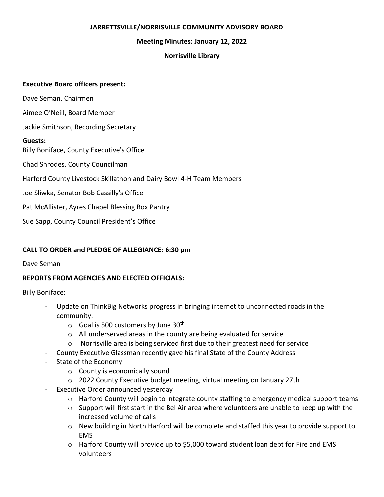### **JARRETTSVILLE/NORRISVILLE COMMUNITY ADVISORY BOARD**

### **Meeting Minutes: January 12, 2022**

### **Norrisville Library**

### **Executive Board officers present:**

Dave Seman, Chairmen

Aimee O'Neill, Board Member

Jackie Smithson, Recording Secretary

### **Guests:**

Billy Boniface, County Executive's Office

Chad Shrodes, County Councilman

Harford County Livestock Skillathon and Dairy Bowl 4-H Team Members

Joe Sliwka, Senator Bob Cassilly's Office

Pat McAllister, Ayres Chapel Blessing Box Pantry

Sue Sapp, County Council President's Office

# **CALL TO ORDER and PLEDGE OF ALLEGIANCE: 6:30 pm**

### Dave Seman

# **REPORTS FROM AGENCIES AND ELECTED OFFICIALS:**

Billy Boniface:

- Update on ThinkBig Networks progress in bringing internet to unconnected roads in the community.
	- $\circ$  Goal is 500 customers by June 30<sup>th</sup>
	- o All underserved areas in the county are being evaluated for service
	- $\circ$  Norrisville area is being serviced first due to their greatest need for service
- County Executive Glassman recently gave his final State of the County Address
- State of the Economy
	- o County is economically sound
	- o 2022 County Executive budget meeting, virtual meeting on January 27th
- Executive Order announced yesterday
	- $\circ$  Harford County will begin to integrate county staffing to emergency medical support teams
	- $\circ$  Support will first start in the Bel Air area where volunteers are unable to keep up with the increased volume of calls
	- $\circ$  New building in North Harford will be complete and staffed this year to provide support to EMS
	- o Harford County will provide up to \$5,000 toward student loan debt for Fire and EMS volunteers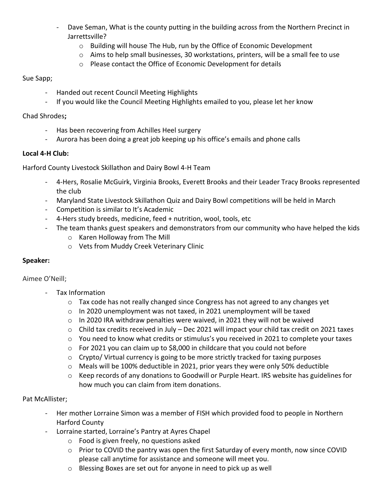- Dave Seman, What is the county putting in the building across from the Northern Precinct in Jarrettsville?
	- o Building will house The Hub, run by the Office of Economic Development
	- o Aims to help small businesses, 30 workstations, printers, will be a small fee to use
	- o Please contact the Office of Economic Development for details

## Sue Sapp;

- Handed out recent Council Meeting Highlights
- If you would like the Council Meeting Highlights emailed to you, please let her know

### Chad Shrodes**;**

- Has been recovering from Achilles Heel surgery
- Aurora has been doing a great job keeping up his office's emails and phone calls

# **Local 4-H Club:**

Harford County Livestock Skillathon and Dairy Bowl 4-H Team

- 4-Hers, Rosalie McGuirk, Virginia Brooks, Everett Brooks and their Leader Tracy Brooks represented the club
- Maryland State Livestock Skillathon Quiz and Dairy Bowl competitions will be held in March
- Competition is similar to It's Academic
- 4-Hers study breeds, medicine, feed + nutrition, wool, tools, etc
- The team thanks guest speakers and demonstrators from our community who have helped the kids
	- o Karen Holloway from The Mill
	- o Vets from Muddy Creek Veterinary Clinic

# **Speaker:**

# Aimee O'Neill;

- Tax Information
	- $\circ$  Tax code has not really changed since Congress has not agreed to any changes yet
	- $\circ$  In 2020 unemployment was not taxed, in 2021 unemployment will be taxed
	- $\circ$  In 2020 IRA withdraw penalties were waived, in 2021 they will not be waived
	- o Child tax credits received in July Dec 2021 will impact your child tax credit on 2021 taxes
	- o You need to know what credits or stimulus's you received in 2021 to complete your taxes
	- $\circ$  For 2021 you can claim up to \$8,000 in childcare that you could not before
	- $\circ$  Crypto/ Virtual currency is going to be more strictly tracked for taxing purposes
	- o Meals will be 100% deductible in 2021, prior years they were only 50% deductible
	- $\circ$  Keep records of any donations to Goodwill or Purple Heart. IRS website has guidelines for how much you can claim from item donations.

# Pat McAllister;

- Her mother Lorraine Simon was a member of FISH which provided food to people in Northern Harford County
- Lorraine started, Lorraine's Pantry at Ayres Chapel
	- o Food is given freely, no questions asked
	- $\circ$  Prior to COVID the pantry was open the first Saturday of every month, now since COVID please call anytime for assistance and someone will meet you.
	- o Blessing Boxes are set out for anyone in need to pick up as well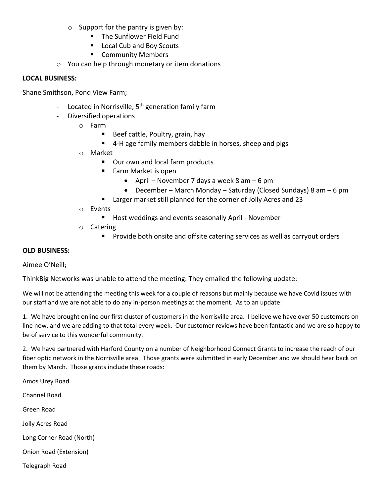- $\circ$  Support for the pantry is given by:
	- The Sunflower Field Fund
	- Local Cub and Boy Scouts
	- Community Members
- o You can help through monetary or item donations

#### **LOCAL BUSINESS:**

Shane Smithson, Pond View Farm;

- Located in Norrisville,  $5<sup>th</sup>$  generation family farm
- Diversified operations
	- o Farm
		- Beef cattle, Poultry, grain, hay
		- 4-H age family members dabble in horses, sheep and pigs
	- o Market
		- Our own and local farm products
		- Farm Market is open
			- April November 7 days a week 8 am 6 pm
			- December March Monday Saturday (Closed Sundays) 8 am 6 pm
		- Larger market still planned for the corner of Jolly Acres and 23
	- o Events
		- Host weddings and events seasonally April November
	- o Catering
		- **•** Provide both onsite and offsite catering services as well as carryout orders

#### **OLD BUSINESS:**

Aimee O'Neill;

ThinkBig Networks was unable to attend the meeting. They emailed the following update:

We will not be attending the meeting this week for a couple of reasons but mainly because we have Covid issues with our staff and we are not able to do any in-person meetings at the moment. As to an update:

1. We have brought online our first cluster of customers in the Norrisville area. I believe we have over 50 customers on line now, and we are adding to that total every week. Our customer reviews have been fantastic and we are so happy to be of service to this wonderful community.

2. We have partnered with Harford County on a number of Neighborhood Connect Grants to increase the reach of our fiber optic network in the Norrisville area. Those grants were submitted in early December and we should hear back on them by March. Those grants include these roads:

Amos Urey Road Channel Road Green Road Jolly Acres Road Long Corner Road (North) Onion Road (Extension) Telegraph Road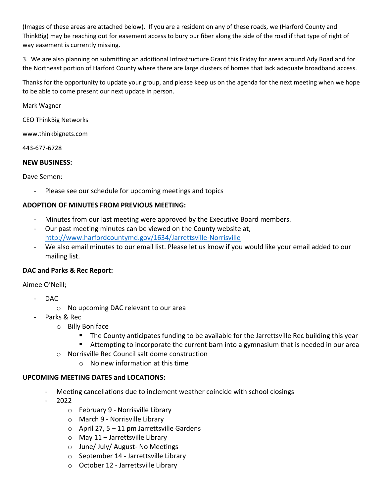(Images of these areas are attached below). If you are a resident on any of these roads, we (Harford County and ThinkBig) may be reaching out for easement access to bury our fiber along the side of the road if that type of right of way easement is currently missing.

3. We are also planning on submitting an additional Infrastructure Grant this Friday for areas around Ady Road and for the Northeast portion of Harford County where there are large clusters of homes that lack adequate broadband access.

Thanks for the opportunity to update your group, and please keep us on the agenda for the next meeting when we hope to be able to come present our next update in person.

Mark Wagner

CEO ThinkBig Networks

www.thinkbignets.com

443-677-6728

### **NEW BUSINESS:**

Dave Semen:

Please see our schedule for upcoming meetings and topics

### **ADOPTION OF MINUTES FROM PREVIOUS MEETING:**

- Minutes from our last meeting were approved by the Executive Board members.
- Our past meeting minutes can be viewed on the County website at, <http://www.harfordcountymd.gov/1634/Jarrettsville-Norrisville>
- We also email minutes to our email list. Please let us know if you would like your email added to our mailing list.

### **DAC and Parks & Rec Report:**

Aimee O'Neill;

- DAC
	- o No upcoming DAC relevant to our area
- Parks & Rec
	- o Billy Boniface
		- The County anticipates funding to be available for the Jarrettsville Rec building this year
		- Attempting to incorporate the current barn into a gymnasium that is needed in our area
	- o Norrisville Rec Council salt dome construction
		- $\circ$  No new information at this time

### **UPCOMING MEETING DATES and LOCATIONS:**

- Meeting cancellations due to inclement weather coincide with school closings
- 2022
	- o February 9 Norrisville Library
	- o March 9 Norrisville Library
	- $\circ$  April 27, 5 11 pm Jarrettsville Gardens
	- $\circ$  May 11 Jarrettsville Library
	- o June/ July/ August- No Meetings
	- o September 14 Jarrettsville Library
	- o October 12 Jarrettsville Library